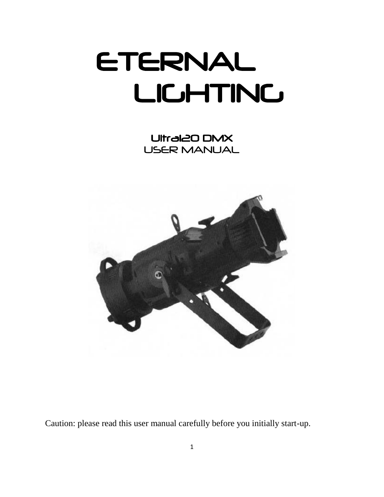# ETERNAL LIGHTING

Ultra120 DMX USER MANUAL



Caution: please read this user manual carefully before you initially start-up.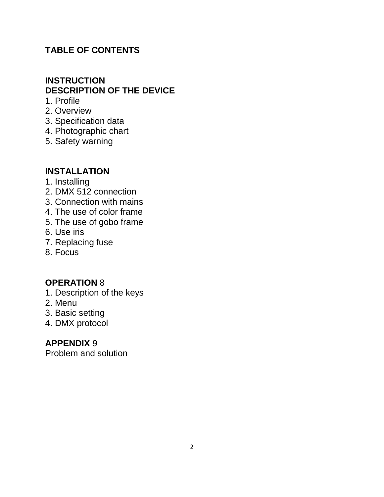#### **TABLE OF CONTENTS**

#### **INSTRUCTION DESCRIPTION OF THE DEVICE**

- 1. Profile
- 2. Overview
- 3. Specification data
- 4. Photographic chart
- 5. Safety warning

#### **INSTALLATION**

- 1. Installing
- 2. DMX 512 connection
- 3. Connection with mains
- 4. The use of color frame
- 5. The use of gobo frame
- 6. Use iris
- 7. Replacing fuse
- 8. Focus

#### **OPERATION** 8

- 1. Description of the keys
- 2. Menu
- 3. Basic setting
- 4. DMX protocol

#### **APPENDIX** 9

Problem and solution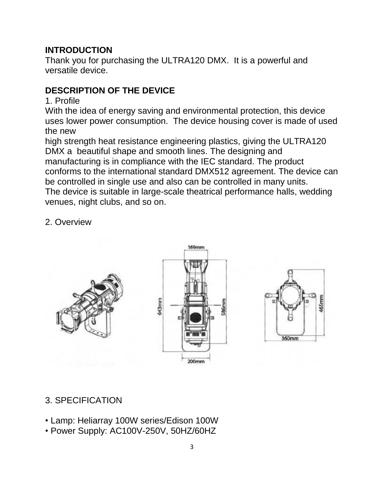#### **INTRODUCTION**

Thank you for purchasing the ULTRA120 DMX. It is a powerful and versatile device.

# **DESCRIPTION OF THE DEVICE**

1. Profile

With the idea of energy saving and environmental protection, this device uses lower power consumption. The device housing cover is made of used the new

high strength heat resistance engineering plastics, giving the ULTRA120 DMX a beautiful shape and smooth lines. The designing and manufacturing is in compliance with the IEC standard. The product conforms to the international standard DMX512 agreement. The device can be controlled in single use and also can be controlled in many units. The device is suitable in large-scale theatrical performance halls, wedding venues, night clubs, and so on.

2. Overview



## 3. SPECIFICATION

- Lamp: Heliarray 100W series/Edison 100W
- Power Supply: AC100V-250V, 50HZ/60HZ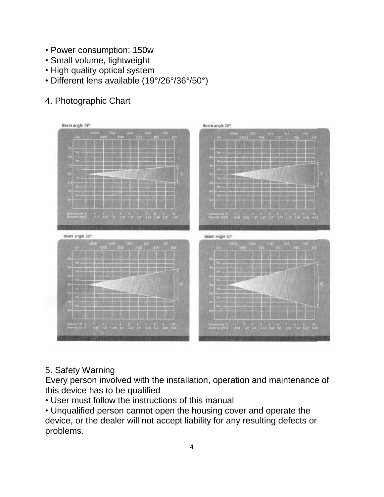- Power consumption: 150w
- Small volume, lightweight
- High quality optical system
- Different lens available (19°/26°/36°/50°)

# 4. Photographic Chart



## 5. Safety Warning

Every person involved with the installation, operation and maintenance of this device has to be qualified

• User must follow the instructions of this manual

• Unqualified person cannot open the housing cover and operate the device, or the dealer will not accept liability for any resulting defects or problems.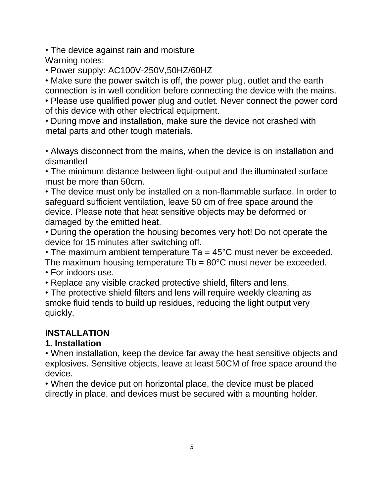• The device against rain and moisture

Warning notes:

• Power supply: AC100V-250V,50HZ/60HZ

• Make sure the power switch is off, the power plug, outlet and the earth connection is in well condition before connecting the device with the mains.

• Please use qualified power plug and outlet. Never connect the power cord of this device with other electrical equipment.

• During move and installation, make sure the device not crashed with metal parts and other tough materials.

• Always disconnect from the mains, when the device is on installation and dismantled

• The minimum distance between light-output and the illuminated surface must be more than 50cm.

• The device must only be installed on a non-flammable surface. In order to safeguard sufficient ventilation, leave 50 cm of free space around the device. Please note that heat sensitive objects may be deformed or damaged by the emitted heat.

• During the operation the housing becomes very hot! Do not operate the device for 15 minutes after switching off.

• The maximum ambient temperature Ta =  $45^{\circ}$ C must never be exceeded.

The maximum housing temperature  $Tb = 80^{\circ}$ C must never be exceeded. • For indoors use.

• Replace any visible cracked protective shield, filters and lens.

• The protective shield filters and lens will require weekly cleaning as smoke fluid tends to build up residues, reducing the light output very quickly.

# **INSTALLATION**

## **1. Installation**

• When installation, keep the device far away the heat sensitive objects and explosives. Sensitive objects, leave at least 50CM of free space around the device.

• When the device put on horizontal place, the device must be placed directly in place, and devices must be secured with a mounting holder.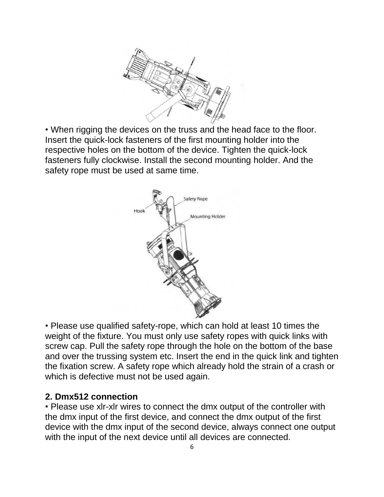

• When rigging the devices on the truss and the head face to the floor. Insert the quick-lock fasteners of the first mounting holder into the respective holes on the bottom of the device. Tighten the quick-lock fasteners fully clockwise. Install the second mounting holder. And the safety rope must be used at same time.



• Please use qualified safety-rope, which can hold at least 10 times the weight of the fixture. You must only use safety ropes with quick links with screw cap. Pull the safety rope through the hole on the bottom of the base and over the trussing system etc. Insert the end in the quick link and tighten the fixation screw. A safety rope which already hold the strain of a crash or which is defective must not be used again.

#### **2. Dmx512 connection**

• Please use xlr-xlr wires to connect the dmx output of the controller with the dmx input of the first device, and connect the dmx output of the first device with the dmx input of the second device, always connect one output with the input of the next device until all devices are connected.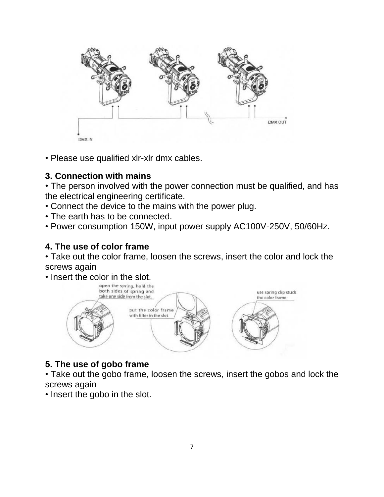

• Please use qualified xlr-xlr dmx cables.

# **3. Connection with mains**

• The person involved with the power connection must be qualified, and has the electrical engineering certificate.

- Connect the device to the mains with the power plug.
- The earth has to be connected.
- Power consumption 150W, input power supply AC100V-250V, 50/60Hz.

# **4. The use of color frame**

• Take out the color frame, loosen the screws, insert the color and lock the screws again

• Insert the color in the slot.



# **5. The use of gobo frame**

• Take out the gobo frame, loosen the screws, insert the gobos and lock the screws again

• Insert the gobo in the slot.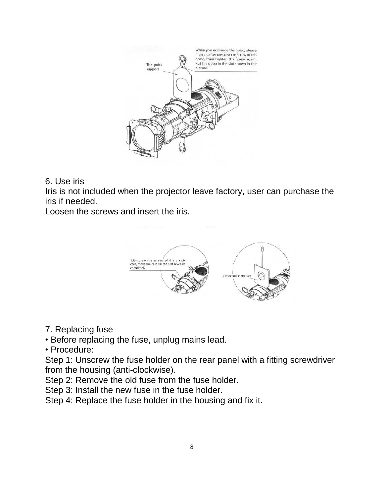

#### 6. Use iris

Iris is not included when the projector leave factory, user can purchase the iris if needed.

Loosen the screws and insert the iris.



#### 7. Replacing fuse

- Before replacing the fuse, unplug mains lead.
- Procedure:

Step 1: Unscrew the fuse holder on the rear panel with a fitting screwdriver from the housing (anti-clockwise).

Step 2: Remove the old fuse from the fuse holder.

Step 3: Install the new fuse in the fuse holder.

Step 4: Replace the fuse holder in the housing and fix it.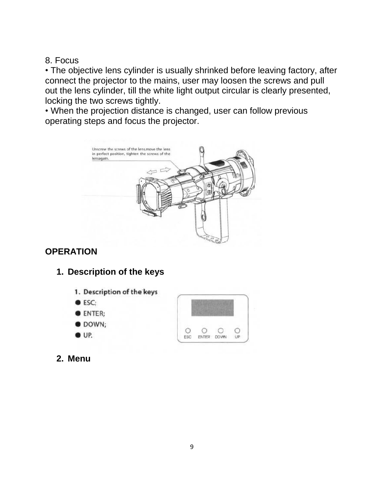8. Focus

• The objective lens cylinder is usually shrinked before leaving factory, after connect the projector to the mains, user may loosen the screws and pull out the lens cylinder, till the white light output circular is clearly presented, locking the two screws tightly.

• When the projection distance is changed, user can follow previous operating steps and focus the projector.



# **OPERATION**

## **1. Description of the keys**

- 1. Description of the keys
- **C** ESC:
- **CENTER;**
- **ODOWN;**
- $\bullet$  UP.



**2. Menu**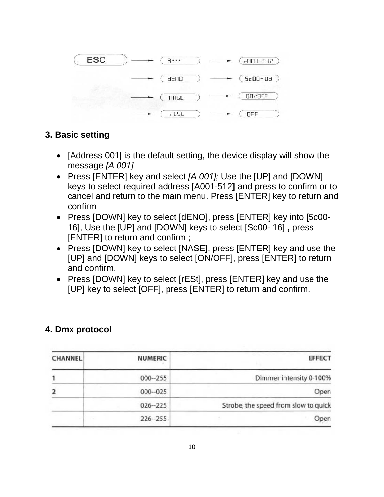

#### **3. Basic setting**

- [Address 001] is the default setting, the device display will show the message *[A 001]*
- Press [ENTER] key and select *[A 001];* Use the [UP] and [DOWN] keys to select required address [A001-512**]** and press to confirm or to cancel and return to the main menu. Press [ENTER] key to return and confirm
- Press [DOWN] key to select [dENO], press [ENTER] key into [5c00-16], Use the [UP] and [DOWN] keys to select [Sc00- 16] **,** press [ENTER] to return and confirm ;
- Press [DOWN] key to select [NASE], press [ENTER] key and use the [UP] and [DOWN] keys to select [ON/OFF], press [ENTER] to return and confirm.
- Press [DOWN] key to select [rESt], press [ENTER] key and use the [UP] key to select [OFF], press [ENTER] to return and confirm.

# **4. Dmx protocol**

| <b>EFFECT</b>                        | <b>NUMERIC</b> | CHANNEL |
|--------------------------------------|----------------|---------|
| Dimmer intensity 0-100%              | $000 - 255$    |         |
| Open                                 | $000 - 025$    |         |
| Strobe, the speed from slow to quick | $026 - 225$    |         |
| Open                                 | $226 - 255$    | 72      |